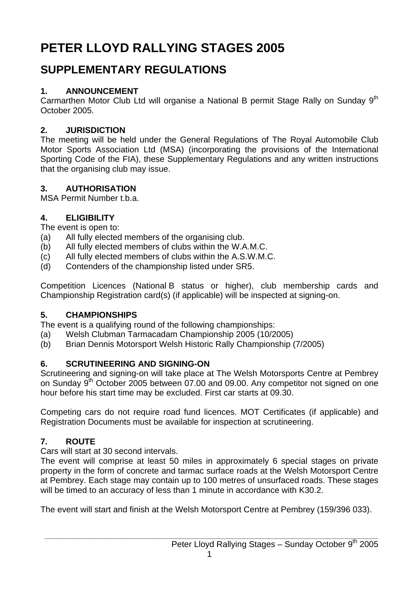# **PETER LLOYD RALLYING STAGES 2005**

## **SUPPLEMENTARY REGULATIONS**

## **1. ANNOUNCEMENT**

Carmarthen Motor Club Ltd will organise a National B permit Stage Rally on Sunday 9<sup>th</sup> October 2005.

## **2. JURISDICTION**

The meeting will be held under the General Regulations of The Royal Automobile Club Motor Sports Association Ltd (MSA) (incorporating the provisions of the International Sporting Code of the FIA), these Supplementary Regulations and any written instructions that the organising club may issue.

## **3. AUTHORISATION**

MSA Permit Number t.b.a.

## **4. ELIGIBILITY**

The event is open to:

- (a) All fully elected members of the organising club.
- (b) All fully elected members of clubs within the W.A.M.C.
- (c) All fully elected members of clubs within the A.S.W.M.C.
- (d) Contenders of the championship listed under SR5.

Competition Licences (National B status or higher), club membership cards and Championship Registration card(s) (if applicable) will be inspected at signing-on.

## **5. CHAMPIONSHIPS**

The event is a qualifying round of the following championships:

- (a) Welsh Clubman Tarmacadam Championship 2005 (10/2005)
- (b) Brian Dennis Motorsport Welsh Historic Rally Championship (7/2005)

## **6. SCRUTINEERING AND SIGNING-ON**

Scrutineering and signing-on will take place at The Welsh Motorsports Centre at Pembrey on Sunday  $9<sup>th</sup>$  October 2005 between 07.00 and 09.00. Any competitor not signed on one hour before his start time may be excluded. First car starts at 09.30.

Competing cars do not require road fund licences. MOT Certificates (if applicable) and Registration Documents must be available for inspection at scrutineering.

## **7. ROUTE**

Cars will start at 30 second intervals.

The event will comprise at least 50 miles in approximately 6 special stages on private property in the form of concrete and tarmac surface roads at the Welsh Motorsport Centre at Pembrey. Each stage may contain up to 100 metres of unsurfaced roads. These stages will be timed to an accuracy of less than 1 minute in accordance with K30.2.

The event will start and finish at the Welsh Motorsport Centre at Pembrey (159/396 033).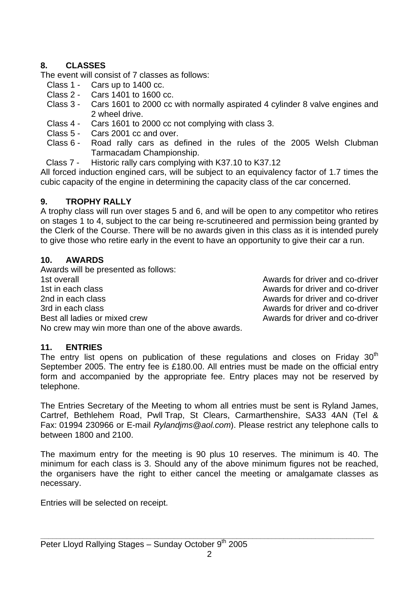#### **8. CLASSES**

The event will consist of 7 classes as follows:

- Class 1 Cars up to 1400 cc.
- Class 2 Cars 1401 to 1600 cc.
- Class 3 Cars 1601 to 2000 cc with normally aspirated 4 cylinder 8 valve engines and 2 wheel drive.
- Class 4 Cars 1601 to 2000 cc not complying with class 3.
- Class 5 Cars 2001 cc and over.
- Class 6 Road rally cars as defined in the rules of the 2005 Welsh Clubman Tarmacadam Championship.
- Class 7 Historic rally cars complying with K37.10 to K37.12

All forced induction engined cars, will be subject to an equivalency factor of 1.7 times the cubic capacity of the engine in determining the capacity class of the car concerned.

#### **9. TROPHY RALLY**

A trophy class will run over stages 5 and 6, and will be open to any competitor who retires on stages 1 to 4, subject to the car being re-scrutineered and permission being granted by the Clerk of the Course. There will be no awards given in this class as it is intended purely to give those who retire early in the event to have an opportunity to give their car a run.

#### **10. AWARDS**

Awards will be presented as follows: 1st overall **1st overall** Awards for driver and co-driver 1st in each class **Awards for driver and co-driver** the state of the Awards for driver and co-driver 2nd in each class **Awards** for driver and co-driver 3rd in each class **Awards for driver and co-driver** and co-driver Best all ladies or mixed crew and control and control and control and co-driver No crew may win more than one of the above awards.

#### **11. ENTRIES**

The entry list opens on publication of these regulations and closes on Friday  $30<sup>th</sup>$ September 2005. The entry fee is £180.00. All entries must be made on the official entry form and accompanied by the appropriate fee. Entry places may not be reserved by telephone.

The Entries Secretary of the Meeting to whom all entries must be sent is Ryland James, Cartref, Bethlehem Road, Pwll Trap, St Clears, Carmarthenshire, SA33 4AN (Tel & Fax: 01994 230966 or E-mail *Rylandjms@aol.com*). Please restrict any telephone calls to between 1800 and 2100.

The maximum entry for the meeting is 90 plus 10 reserves. The minimum is 40. The minimum for each class is 3. Should any of the above minimum figures not be reached, the organisers have the right to either cancel the meeting or amalgamate classes as necessary.

Entries will be selected on receipt.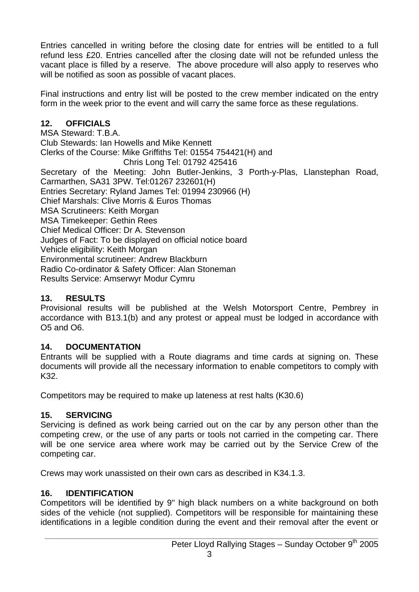Entries cancelled in writing before the closing date for entries will be entitled to a full refund less £20. Entries cancelled after the closing date will not be refunded unless the vacant place is filled by a reserve. The above procedure will also apply to reserves who will be notified as soon as possible of vacant places.

Final instructions and entry list will be posted to the crew member indicated on the entry form in the week prior to the event and will carry the same force as these regulations.

#### **12. OFFICIALS**

MSA Steward: T.B.A. Club Stewards: Ian Howells and Mike Kennett Clerks of the Course: Mike Griffiths Tel: 01554 754421(H) and Chris Long Tel: 01792 425416 Secretary of the Meeting: John Butler-Jenkins, 3 Porth-y-Plas, Llanstephan Road, Carmarthen, SA31 3PW. Tel:01267 232601(H) Entries Secretary: Ryland James Tel: 01994 230966 (H) Chief Marshals: Clive Morris & Euros Thomas MSA Scrutineers: Keith Morgan MSA Timekeeper: Gethin Rees Chief Medical Officer: Dr A. Stevenson Judges of Fact: To be displayed on official notice board Vehicle eligibility: Keith Morgan Environmental scrutineer: Andrew Blackburn Radio Co-ordinator & Safety Officer: Alan Stoneman Results Service: Amserwyr Modur Cymru

#### **13. RESULTS**

Provisional results will be published at the Welsh Motorsport Centre, Pembrey in accordance with B13.1(b) and any protest or appeal must be lodged in accordance with O5 and O6.

#### **14. DOCUMENTATION**

Entrants will be supplied with a Route diagrams and time cards at signing on. These documents will provide all the necessary information to enable competitors to comply with K32.

Competitors may be required to make up lateness at rest halts (K30.6)

#### **15. SERVICING**

Servicing is defined as work being carried out on the car by any person other than the competing crew, or the use of any parts or tools not carried in the competing car. There will be one service area where work may be carried out by the Service Crew of the competing car.

Crews may work unassisted on their own cars as described in K34.1.3.

#### **16. IDENTIFICATION**

Competitors will be identified by 9" high black numbers on a white background on both sides of the vehicle (not supplied). Competitors will be responsible for maintaining these identifications in a legible condition during the event and their removal after the event or

**\_\_\_\_\_\_\_\_\_\_\_\_\_\_\_\_\_\_\_\_\_\_\_\_\_\_\_\_\_\_\_\_\_\_\_\_\_\_\_\_\_\_\_\_\_\_\_\_\_\_\_\_\_\_\_\_\_\_\_\_\_\_\_\_\_\_\_\_\_\_\_\_\_\_\_\_\_\_\_\_\_\_\_\_\_**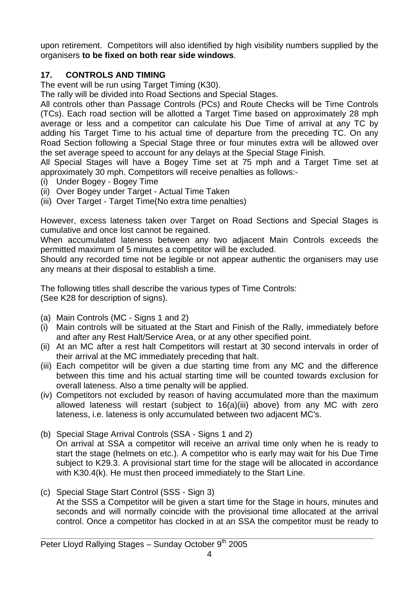upon retirement. Competitors will also identified by high visibility numbers supplied by the organisers **to be fixed on both rear side windows**.

#### **17. CONTROLS AND TIMING**

The event will be run using Target Timing (K30).

The rally will be divided into Road Sections and Special Stages.

All controls other than Passage Controls (PCs) and Route Checks will be Time Controls (TCs). Each road section will be allotted a Target Time based on approximately 28 mph average or less and a competitor can calculate his Due Time of arrival at any TC by adding his Target Time to his actual time of departure from the preceding TC. On any Road Section following a Special Stage three or four minutes extra will be allowed over the set average speed to account for any delays at the Special Stage Finish.

All Special Stages will have a Bogey Time set at 75 mph and a Target Time set at approximately 30 mph. Competitors will receive penalties as follows:-

- (i) Under Bogey Bogey Time
- (ii) Over Bogey under Target Actual Time Taken
- (iii) Over Target Target Time(No extra time penalties)

However, excess lateness taken over Target on Road Sections and Special Stages is cumulative and once lost cannot be regained.

When accumulated lateness between any two adjacent Main Controls exceeds the permitted maximum of 5 minutes a competitor will be excluded.

Should any recorded time not be legible or not appear authentic the organisers may use any means at their disposal to establish a time.

The following titles shall describe the various types of Time Controls: (See K28 for description of signs).

- (a) Main Controls (MC Signs 1 and 2)
- (i) Main controls will be situated at the Start and Finish of the Rally, immediately before and after any Rest Halt/Service Area, or at any other specified point.
- (ii) At an MC after a rest halt Competitors will restart at 30 second intervals in order of their arrival at the MC immediately preceding that halt.
- (iii) Each competitor will be given a due starting time from any MC and the difference between this time and his actual starting time will be counted towards exclusion for overall lateness. Also a time penalty will be applied.
- (iv) Competitors not excluded by reason of having accumulated more than the maximum allowed lateness will restart (subject to 16(a)(iii) above) from any MC with zero lateness, i.e. lateness is only accumulated between two adjacent MC's.
- (b) Special Stage Arrival Controls (SSA Signs 1 and 2) On arrival at SSA a competitor will receive an arrival time only when he is ready to start the stage (helmets on etc.). A competitor who is early may wait for his Due Time subject to K29.3. A provisional start time for the stage will be allocated in accordance with K30.4(k). He must then proceed immediately to the Start Line.
- (c) Special Stage Start Control (SSS Sign 3) At the SSS a Competitor will be given a start time for the Stage in hours, minutes and seconds and will normally coincide with the provisional time allocated at the arrival control. Once a competitor has clocked in at an SSA the competitor must be ready to

**\_\_\_\_\_\_\_\_\_\_\_\_\_\_\_\_\_\_\_\_\_\_\_\_\_\_\_\_\_\_\_\_\_\_\_\_\_\_\_\_\_\_\_\_\_\_\_\_\_\_\_\_\_\_\_\_\_\_\_\_\_\_\_\_\_\_\_\_\_\_\_\_\_\_\_\_\_\_\_\_\_\_\_\_\_**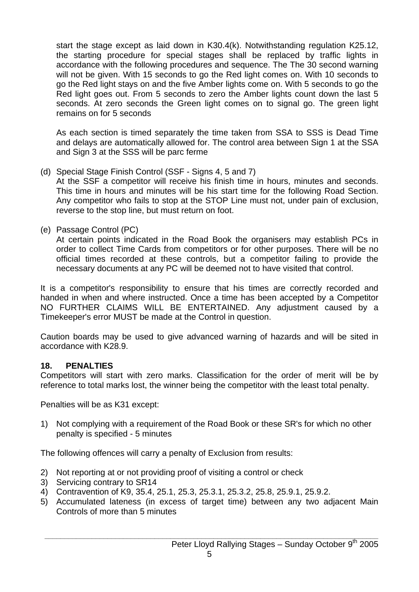start the stage except as laid down in K30.4(k). Notwithstanding regulation K25.12, the starting procedure for special stages shall be replaced by traffic lights in accordance with the following procedures and sequence. The The 30 second warning will not be given. With 15 seconds to go the Red light comes on. With 10 seconds to go the Red light stays on and the five Amber lights come on. With 5 seconds to go the Red light goes out. From 5 seconds to zero the Amber lights count down the last 5 seconds. At zero seconds the Green light comes on to signal go. The green light remains on for 5 seconds

 As each section is timed separately the time taken from SSA to SSS is Dead Time and delays are automatically allowed for. The control area between Sign 1 at the SSA and Sign 3 at the SSS will be parc ferme

(d) Special Stage Finish Control (SSF - Signs 4, 5 and 7)

 At the SSF a competitor will receive his finish time in hours, minutes and seconds. This time in hours and minutes will be his start time for the following Road Section. Any competitor who fails to stop at the STOP Line must not, under pain of exclusion, reverse to the stop line, but must return on foot.

(e) Passage Control (PC)

 At certain points indicated in the Road Book the organisers may establish PCs in order to collect Time Cards from competitors or for other purposes. There will be no official times recorded at these controls, but a competitor failing to provide the necessary documents at any PC will be deemed not to have visited that control.

It is a competitor's responsibility to ensure that his times are correctly recorded and handed in when and where instructed. Once a time has been accepted by a Competitor NO FURTHER CLAIMS WILL BE ENTERTAINED. Any adjustment caused by a Timekeeper's error MUST be made at the Control in question.

Caution boards may be used to give advanced warning of hazards and will be sited in accordance with K28.9.

#### **18. PENALTIES**

Competitors will start with zero marks. Classification for the order of merit will be by reference to total marks lost, the winner being the competitor with the least total penalty.

Penalties will be as K31 except:

1) Not complying with a requirement of the Road Book or these SR's for which no other penalty is specified - 5 minutes

The following offences will carry a penalty of Exclusion from results:

- 2) Not reporting at or not providing proof of visiting a control or check
- 3) Servicing contrary to SR14
- 4) Contravention of K9, 35.4, 25.1, 25.3, 25.3.1, 25.3.2, 25.8, 25.9.1, 25.9.2.
- 5) Accumulated lateness (in excess of target time) between any two adjacent Main Controls of more than 5 minutes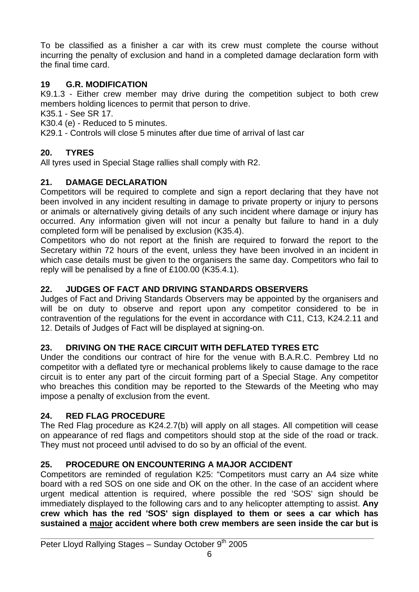To be classified as a finisher a car with its crew must complete the course without incurring the penalty of exclusion and hand in a completed damage declaration form with the final time card.

### **19 G.R. MODIFICATION**

K9.1.3 - Either crew member may drive during the competition subject to both crew members holding licences to permit that person to drive.

K35.1 - See SR 17.

K30.4 (e) - Reduced to 5 minutes.

K29.1 - Controls will close 5 minutes after due time of arrival of last car

## **20. TYRES**

All tyres used in Special Stage rallies shall comply with R2.

#### **21. DAMAGE DECLARATION**

Competitors will be required to complete and sign a report declaring that they have not been involved in any incident resulting in damage to private property or injury to persons or animals or alternatively giving details of any such incident where damage or injury has occurred. Any information given will not incur a penalty but failure to hand in a duly completed form will be penalised by exclusion (K35.4).

Competitors who do not report at the finish are required to forward the report to the Secretary within 72 hours of the event, unless they have been involved in an incident in which case details must be given to the organisers the same day. Competitors who fail to reply will be penalised by a fine of £100.00 (K35.4.1).

#### **22. JUDGES OF FACT AND DRIVING STANDARDS OBSERVERS**

Judges of Fact and Driving Standards Observers may be appointed by the organisers and will be on duty to observe and report upon any competitor considered to be in contravention of the regulations for the event in accordance with C11, C13, K24.2.11 and 12. Details of Judges of Fact will be displayed at signing-on.

#### **23. DRIVING ON THE RACE CIRCUIT WITH DEFLATED TYRES ETC**

Under the conditions our contract of hire for the venue with B.A.R.C. Pembrey Ltd no competitor with a deflated tyre or mechanical problems likely to cause damage to the race circuit is to enter any part of the circuit forming part of a Special Stage. Any competitor who breaches this condition may be reported to the Stewards of the Meeting who may impose a penalty of exclusion from the event.

#### **24. RED FLAG PROCEDURE**

The Red Flag procedure as K24.2.7(b) will apply on all stages. All competition will cease on appearance of red flags and competitors should stop at the side of the road or track. They must not proceed until advised to do so by an official of the event.

#### **25. PROCEDURE ON ENCOUNTERING A MAJOR ACCIDENT**

Competitors are reminded of regulation K25: "Competitors must carry an A4 size white board with a red SOS on one side and OK on the other. In the case of an accident where urgent medical attention is required, where possible the red 'SOS' sign should be immediately displayed to the following cars and to any helicopter attempting to assist. **Any crew which has the red 'SOS' sign displayed to them or sees a car which has sustained a major accident where both crew members are seen inside the car but is**